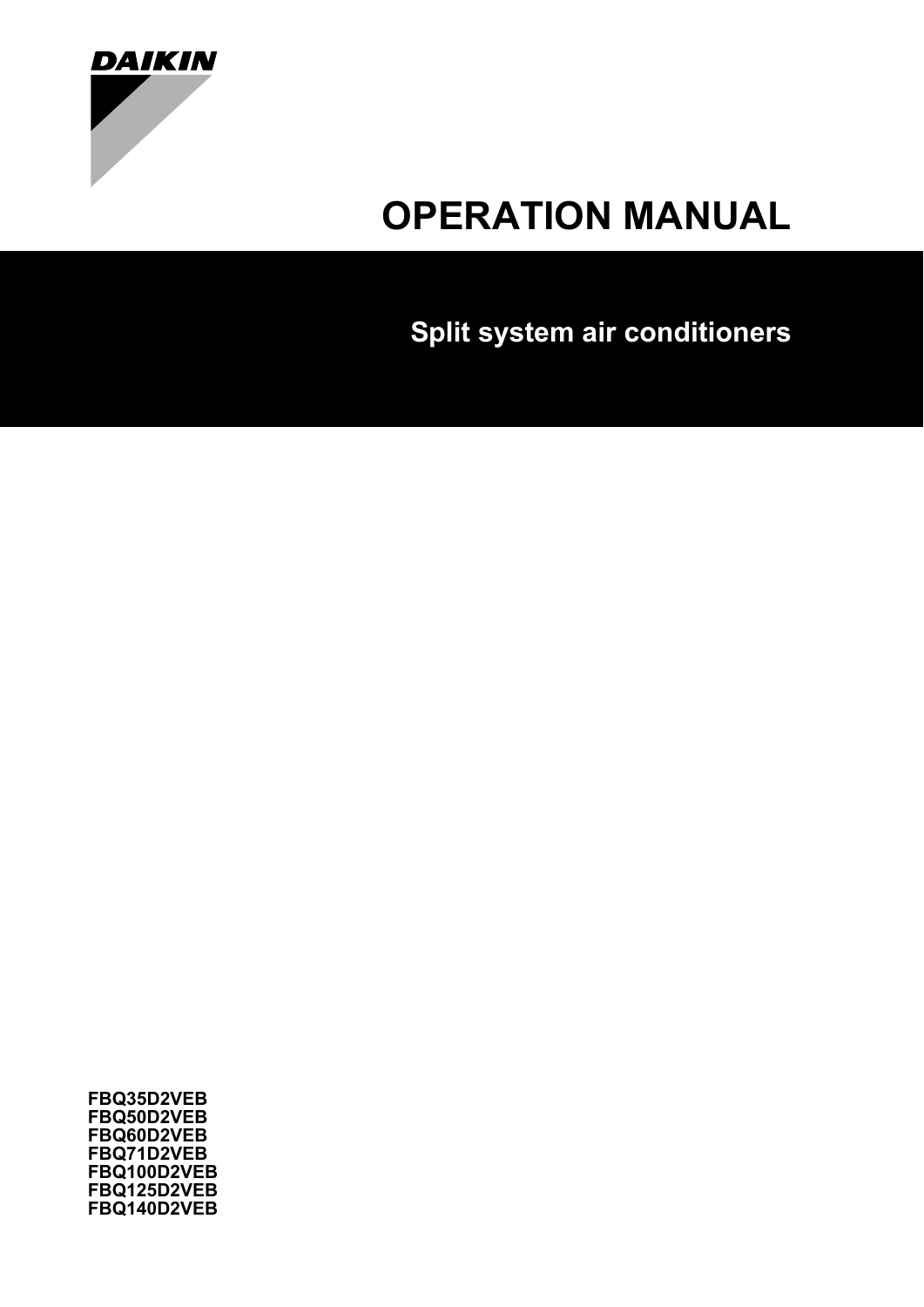

# **[OPERATION MANUAL](#page-2-0)**

**[Split system air conditioners](#page-2-1)**

**FBQ35D2VEB FBQ50D2VEB FBQ60D2VEB FBQ71D2VEB FBQ100D2VEB FBQ125D2VEB FBQ140D2VEB**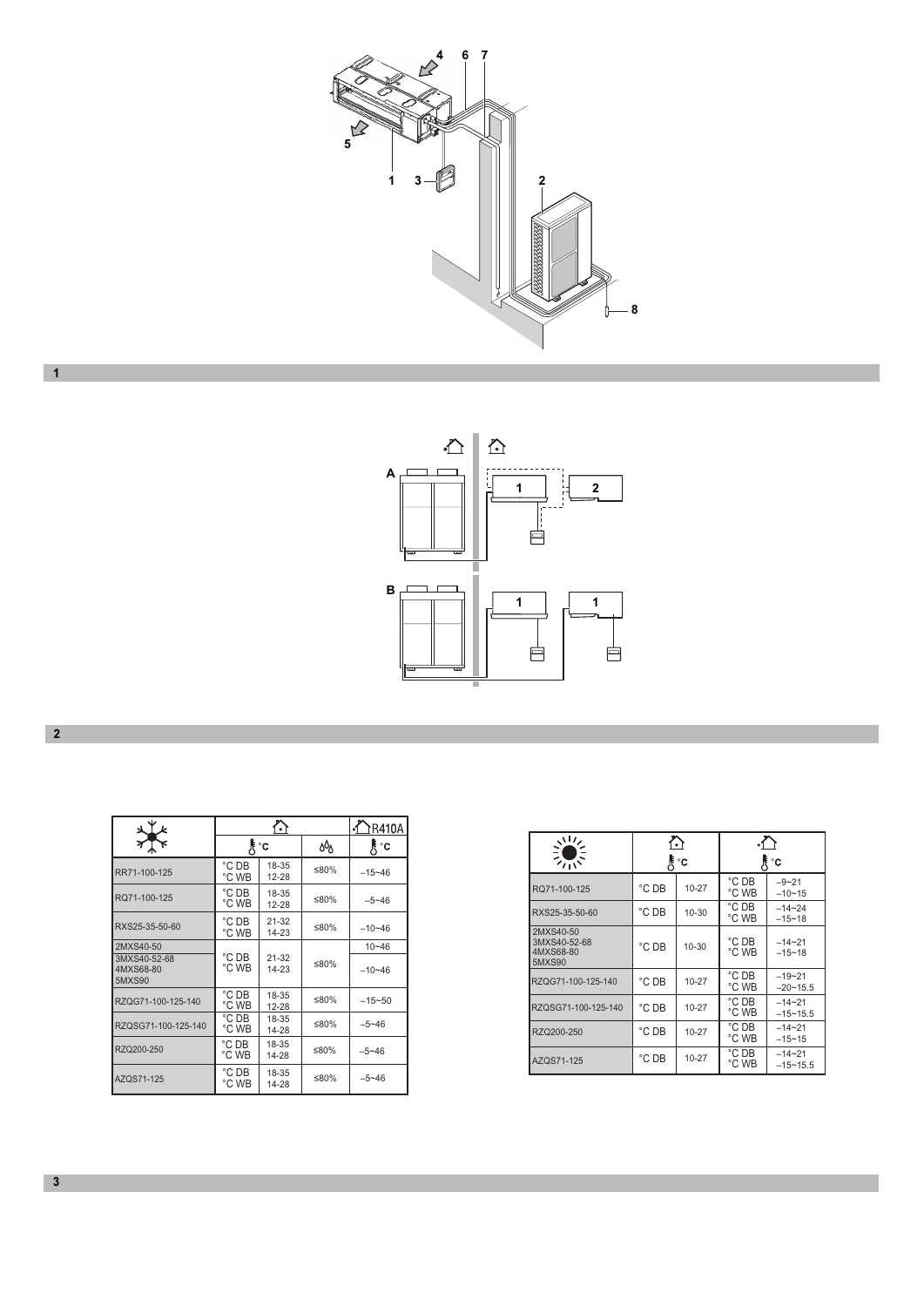<span id="page-1-1"></span>



| $\mathcal{X}$                              |                | ⚠                  |      | ピ<br><b>FR410A</b> |
|--------------------------------------------|----------------|--------------------|------|--------------------|
| γ                                          |                | ∦∘c                | δą   | ∦∘c                |
| RR71-100-125                               | °C DB<br>°C WB | 18-35<br>$12 - 28$ | ≤80% | $-15 - 46$         |
| RQ71-100-125                               | °C DB<br>°C WB | 18-35<br>$12 - 28$ | ≤80% | $-5 - 46$          |
| RXS25-35-50-60                             | °C DB<br>°C WB | $21 - 32$<br>14-23 | ≤80% | $-10-46$           |
| 2MXS40-50                                  |                |                    |      | $10 - 46$          |
| 3MXS40-52-68<br>4MXS68-80<br><b>5MXS90</b> | °C DB<br>°C WB | $21 - 32$<br>14-23 | ≤80% | $-10-46$           |
| RZQG71-100-125-140                         | °C DB<br>°C WB | 18-35<br>$12 - 28$ | ≤80% | $-15 - 50$         |
| RZQSG71-100-125-140                        | °C DB<br>°C WB | 18-35<br>14-28     | ≤80% | $-5 - 46$          |
| RZQ200-250                                 | °C DB<br>°C WB | 18-35<br>14-28     | ≤80% | $-5 - 46$          |
| AZQS71-125                                 | °C DB<br>°C WB | 18-35<br>14-28     | ≤80% | $-5 - 46$          |

| 观么<br>熟                                          |       | ⇘<br>∦∘с  | kl°с           |                          |  |  |  |
|--------------------------------------------------|-------|-----------|----------------|--------------------------|--|--|--|
| RO71-100-125                                     | °C DB | $10 - 27$ | °C DB<br>°C WB | $-9 - 21$<br>$-10-15$    |  |  |  |
| RXS25-35-50-60                                   | °C DB | $10 - 30$ | °C DB<br>°C WB | $-14 - 24$<br>$-15 - 18$ |  |  |  |
| 2MXS40-50<br>3MXS40-52-68<br>4MXS68-80<br>5MXS90 | °C DB | $10 - 30$ | °C DB<br>°C WB | $-14-21$<br>$-15 - 18$   |  |  |  |
| RZQG71-100-125-140                               | °C DB | $10 - 27$ | °C DB<br>°C WB | $-19-21$<br>$-20 - 15.5$ |  |  |  |
| RZQSG71-100-125-140                              | °C DB | $10 - 27$ | °C DB<br>°C WB | $-14-21$<br>$-15 - 15.5$ |  |  |  |
| RZQ200-250                                       | °C DB | $10 - 27$ | °C DB<br>°C WB | $-14-21$<br>$-15 - 15$   |  |  |  |
| AZQS71-125                                       | °C DB | $10 - 27$ | °C DB<br>°C WB | $-14-21$<br>$-15 - 15.5$ |  |  |  |

<span id="page-1-2"></span>**2**

<span id="page-1-0"></span>**1**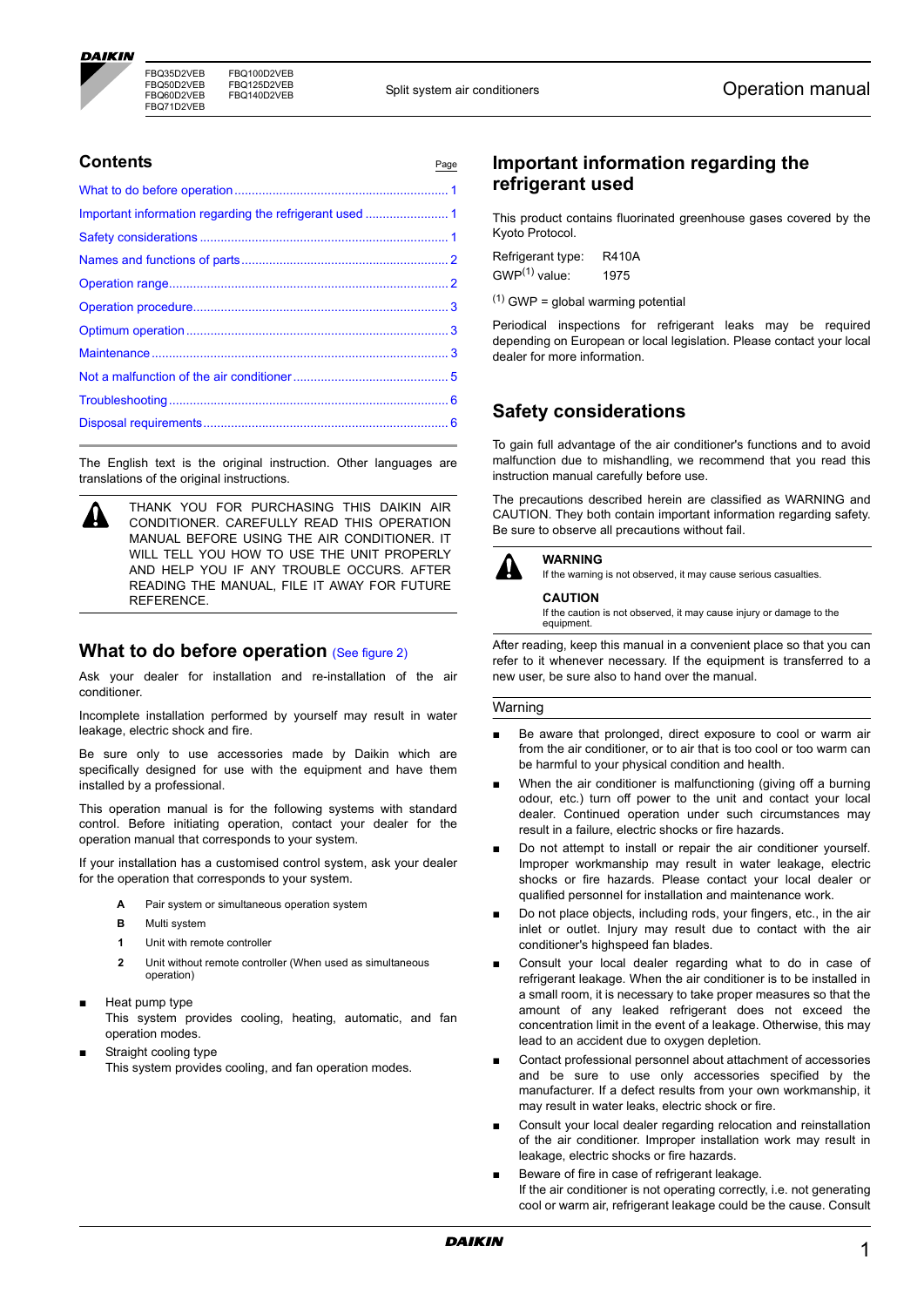| FBQ35D2VEB | FBQ100D2VEB |
|------------|-------------|
|            |             |
| FBO50D2VEB | FBQ125D2VEB |
| FBQ60D2VEB | FBQ140D2VEB |
| FRO71D2VFR |             |
|            |             |

# **Contents** Page [What to do before operation.............................................................. 1](#page-2-2) [Important information regarding the refrigerant used ........................ 1](#page-2-4)

The English text is the original instruction. Other languages are translations of the original instructions.

THANK YOU FOR PURCHASING THIS DAIKIN AIR CONDITIONER. CAREFULLY READ THIS OPERATION MANUAL BEFORE USING THE AIR CONDITIONER. IT WILL TELL YOU HOW TO USE THE UNIT PROPERLY AND HELP YOU IF ANY TROUBLE OCCURS. AFTER READING THE MANUAL, FILE IT AWAY FOR FUTURE REFERENCE.

## <span id="page-2-2"></span>**What to do before operation** [\(See figure 2\)](#page-1-0)

Ask your dealer for installation and re-installation of the air conditioner.

Incomplete installation performed by yourself may result in water leakage, electric shock and fire.

Be sure only to use accessories made by Daikin which are specifically designed for use with the equipment and have them installed by a professional.

This operation manual is for the following systems with standard control. Before initiating operation, contact your dealer for the operation manual that corresponds to your system.

If your installation has a customised control system, ask your dealer for the operation that corresponds to your system.

- **A** Pair system or simultaneous operation system
- **B** Multi system
- **1** Unit with remote controller
- **2** Unit without remote controller (When used as simultaneous operation)
- Heat pump type This system provides cooling, heating, automatic, and fan operation modes.
- Straight cooling type This system provides cooling, and fan operation modes.

# <span id="page-2-4"></span><span id="page-2-1"></span><span id="page-2-0"></span>**Important information regarding the refrigerant used**

This product contains fluorinated greenhouse gases covered by the Kyoto Protocol.

| Refrigerant type: | R410A |
|-------------------|-------|
| $GWP(1)$ value:   | 1975  |

 $(1)$  GWP = global warming potential

Periodical inspections for refrigerant leaks may be required depending on European or local legislation. Please contact your local dealer for more information.

# <span id="page-2-3"></span>**Safety considerations**

To gain full advantage of the air conditioner's functions and to avoid malfunction due to mishandling, we recommend that you read this instruction manual carefully before use.

The precautions described herein are classified as WARNING and CAUTION. They both contain important information regarding safety. Be sure to observe all precautions without fail.



**WARNING**

If the warning is not observed, it may cause serious casualties.

#### **CAUTION**

If the caution is not observed, it may cause injury or damage to the equipment.

After reading, keep this manual in a convenient place so that you can refer to it whenever necessary. If the equipment is transferred to a new user, be sure also to hand over the manual.

#### Warning

- Be aware that prolonged, direct exposure to cool or warm air from the air conditioner, or to air that is too cool or too warm can be harmful to your physical condition and health.
- When the air conditioner is malfunctioning (giving off a burning odour, etc.) turn off power to the unit and contact your local dealer. Continued operation under such circumstances may result in a failure, electric shocks or fire hazards.
- Do not attempt to install or repair the air conditioner yourself. Improper workmanship may result in water leakage, electric shocks or fire hazards. Please contact your local dealer or qualified personnel for installation and maintenance work.
- Do not place objects, including rods, your fingers, etc., in the air inlet or outlet. Injury may result due to contact with the air conditioner's highspeed fan blades.
- Consult your local dealer regarding what to do in case of refrigerant leakage. When the air conditioner is to be installed in a small room, it is necessary to take proper measures so that the amount of any leaked refrigerant does not exceed the concentration limit in the event of a leakage. Otherwise, this may lead to an accident due to oxygen depletion.
- Contact professional personnel about attachment of accessories and be sure to use only accessories specified by the manufacturer. If a defect results from your own workmanship, it may result in water leaks, electric shock or fire.
- Consult your local dealer regarding relocation and reinstallation of the air conditioner. Improper installation work may result in leakage, electric shocks or fire hazards.
- Beware of fire in case of refrigerant leakage. If the air conditioner is not operating correctly, i.e. not generating cool or warm air, refrigerant leakage could be the cause. Consult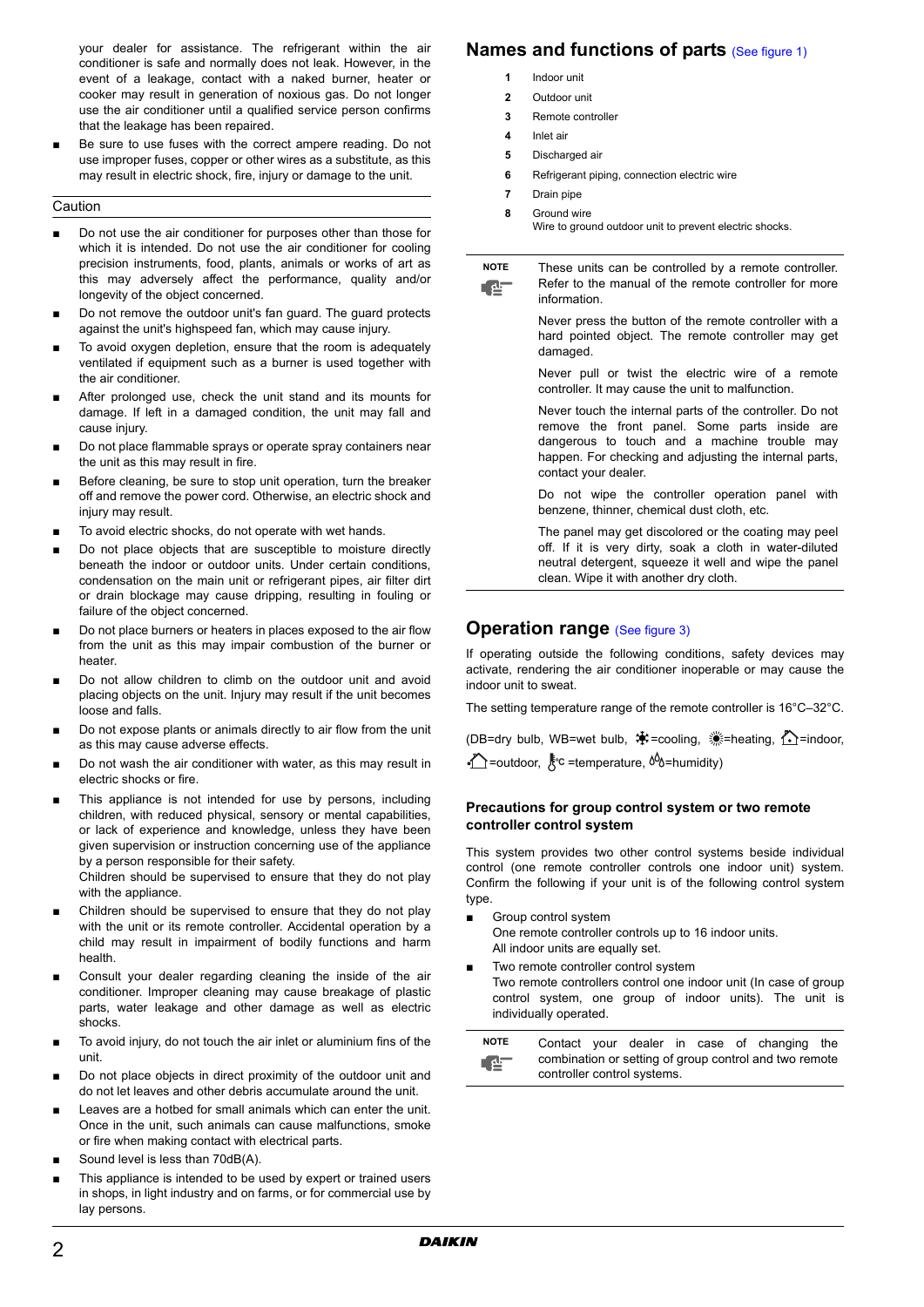your dealer for assistance. The refrigerant within the air conditioner is safe and normally does not leak. However, in the event of a leakage, contact with a naked burner, heater or cooker may result in generation of noxious gas. Do not longer use the air conditioner until a qualified service person confirms that the leakage has been repaired.

Be sure to use fuses with the correct ampere reading. Do not use improper fuses, copper or other wires as a substitute, as this may result in electric shock, fire, injury or damage to the unit.

#### Caution

- Do not use the air conditioner for purposes other than those for which it is intended. Do not use the air conditioner for cooling precision instruments, food, plants, animals or works of art as this may adversely affect the performance, quality and/or longevity of the object concerned.
- Do not remove the outdoor unit's fan guard. The guard protects against the unit's highspeed fan, which may cause injury.
- To avoid oxygen depletion, ensure that the room is adequately ventilated if equipment such as a burner is used together with the air conditioner.
- After prolonged use, check the unit stand and its mounts for damage. If left in a damaged condition, the unit may fall and cause injury.
- Do not place flammable sprays or operate spray containers near the unit as this may result in fire.
- Before cleaning, be sure to stop unit operation, turn the breaker off and remove the power cord. Otherwise, an electric shock and injury may result.
- To avoid electric shocks, do not operate with wet hands.
- Do not place objects that are susceptible to moisture directly beneath the indoor or outdoor units. Under certain conditions, condensation on the main unit or refrigerant pipes, air filter dirt or drain blockage may cause dripping, resulting in fouling or failure of the object concerned.
- Do not place burners or heaters in places exposed to the air flow from the unit as this may impair combustion of the burner or heater.
- Do not allow children to climb on the outdoor unit and avoid placing objects on the unit. Injury may result if the unit becomes loose and falls.
- Do not expose plants or animals directly to air flow from the unit as this may cause adverse effects.
- Do not wash the air conditioner with water, as this may result in electric shocks or fire.
- This appliance is not intended for use by persons, including children, with reduced physical, sensory or mental capabilities, or lack of experience and knowledge, unless they have been given supervision or instruction concerning use of the appliance by a person responsible for their safety. Children should be supervised to ensure that they do not play
- with the appliance. Children should be supervised to ensure that they do not play with the unit or its remote controller. Accidental operation by a child may result in impairment of bodily functions and harm
- health. Consult your dealer regarding cleaning the inside of the air conditioner. Improper cleaning may cause breakage of plastic parts, water leakage and other damage as well as electric shocks.
- To avoid injury, do not touch the air inlet or aluminium fins of the unit.
- Do not place objects in direct proximity of the outdoor unit and do not let leaves and other debris accumulate around the unit.
- Leaves are a hotbed for small animals which can enter the unit. Once in the unit, such animals can cause malfunctions, smoke or fire when making contact with electrical parts.
- Sound level is less than 70dB(A).
- This appliance is intended to be used by expert or trained users in shops, in light industry and on farms, or for commercial use by lay persons.

## <span id="page-3-0"></span>**Names and functions of parts [\(See figure 1\)](#page-1-1)**

- **1** Indoor unit
- **2** Outdoor unit
- **3** Remote controller
- **4** Inlet air
- **5** Discharged air
- **6** Refrigerant piping, connection electric wire
- **7** Drain pipe
- **8** Ground wire
- Wire to ground outdoor unit to prevent electric shocks.

**NOTE** These units can be controlled by a remote controller. Refer to the manual of the remote controller for more **FALL** information.

> Never press the button of the remote controller with a hard pointed object. The remote controller may get damaged.

> Never pull or twist the electric wire of a remote controller. It may cause the unit to malfunction.

> Never touch the internal parts of the controller. Do not remove the front panel. Some parts inside are dangerous to touch and a machine trouble may happen. For checking and adjusting the internal parts, contact your dealer.

> Do not wipe the controller operation panel with benzene, thinner, chemical dust cloth, etc.

> The panel may get discolored or the coating may peel off. If it is very dirty, soak a cloth in water-diluted neutral detergent, squeeze it well and wipe the panel clean. Wipe it with another dry cloth.

## <span id="page-3-1"></span>**Operation range** [\(See figure 3\)](#page-1-2)

If operating outside the following conditions, safety devices may activate, rendering the air conditioner inoperable or may cause the indoor unit to sweat.

The setting temperature range of the remote controller is 16°C–32°C.

(DB=dry bulb, WB=wet bulb,  $\frac{1}{2}$ =cooling,  $\frac{1}{2}$ =heating,  $\frac{1}{2}$ =indoor, =outdoor, <sub>c</sub><sup>e</sup>c =temperature, <sup>6</sup>%=humidity)

#### **Precautions for group control system or two remote controller control system**

This system provides two other control systems beside individual control (one remote controller controls one indoor unit) system. Confirm the following if your unit is of the following control system type.

- Group control system
- One remote controller controls up to 16 indoor units. All indoor units are equally set.
- Two remote controller control system Two remote controllers control one indoor unit (In case of group control system, one group of indoor units). The unit is individually operated.

**NOTE** Contact your dealer in case of changing the combination or setting of group control and two remote **RET** controller control systems.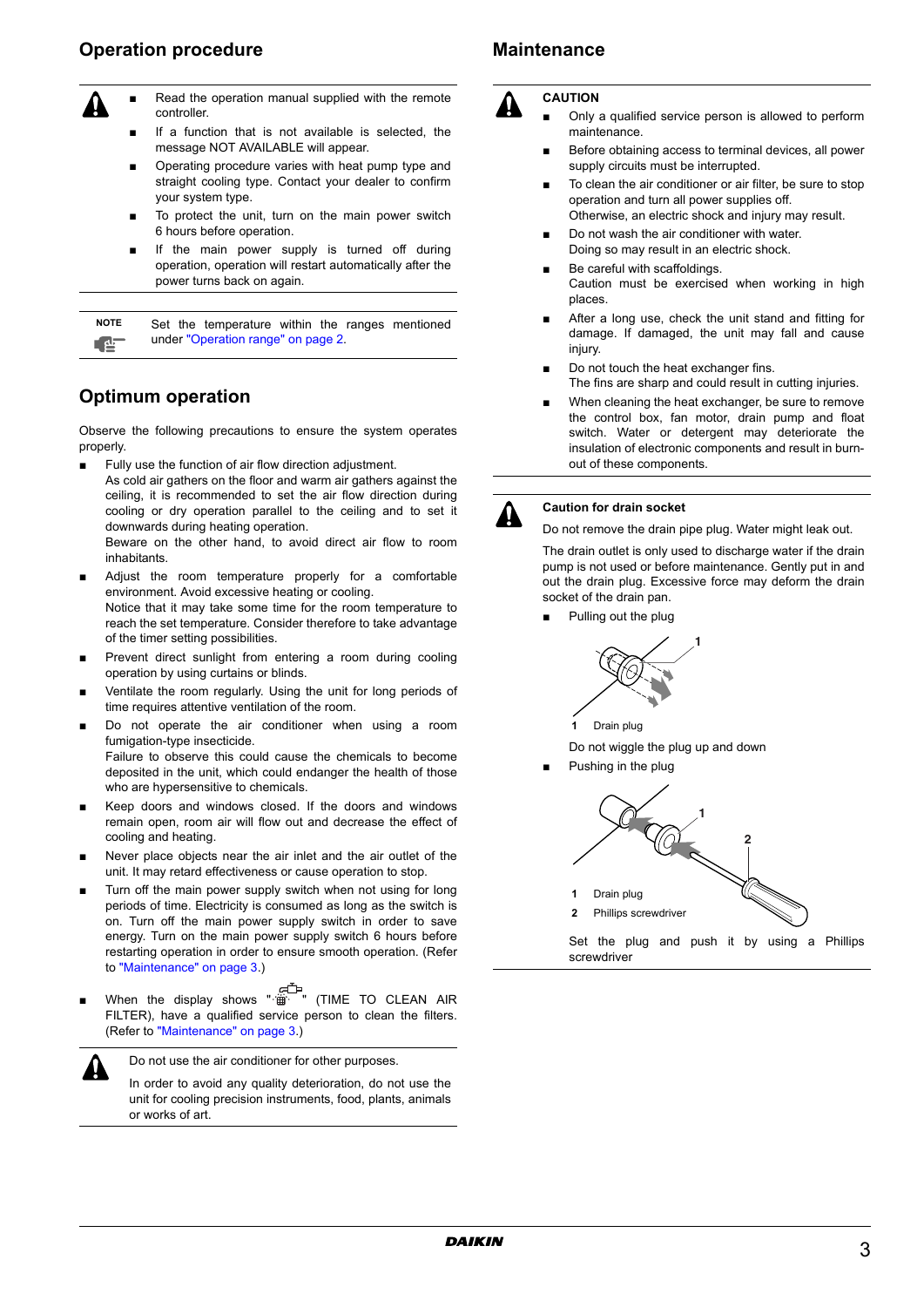# <span id="page-4-0"></span>**Operation procedure**



- message NOT AVAILABLE will appear. ■ Operating procedure varies with heat pump type and
- straight cooling type. Contact your dealer to confirm your system type.
- To protect the unit, turn on the main power switch 6 hours before operation.
- If the main power supply is turned off during operation, operation will restart automatically after the power turns back on again.

| <b>NOTE</b> | Set the temperature within the ranges mentioned |
|-------------|-------------------------------------------------|
| "世界         | under "Operation range" on page 2.              |

# <span id="page-4-1"></span>**Optimum operation**

Observe the following precautions to ensure the system operates properly.

Fully use the function of air flow direction adjustment.

As cold air gathers on the floor and warm air gathers against the ceiling, it is recommended to set the air flow direction during cooling or dry operation parallel to the ceiling and to set it downwards during heating operation.

Beware on the other hand, to avoid direct air flow to room inhabitants.

- Adjust the room temperature properly for a comfortable environment. Avoid excessive heating or cooling. Notice that it may take some time for the room temperature to reach the set temperature. Consider therefore to take advantage of the timer setting possibilities.
- Prevent direct sunlight from entering a room during cooling operation by using curtains or blinds.
- Ventilate the room regularly. Using the unit for long periods of time requires attentive ventilation of the room.
- Do not operate the air conditioner when using a room fumigation-type insecticide. Failure to observe this could cause the chemicals to become deposited in the unit, which could endanger the health of those who are hypersensitive to chemicals.
- Keep doors and windows closed. If the doors and windows remain open, room air will flow out and decrease the effect of cooling and heating.
- Never place objects near the air inlet and the air outlet of the unit. It may retard effectiveness or cause operation to stop.
- Turn off the main power supply switch when not using for long periods of time. Electricity is consumed as long as the switch is on. Turn off the main power supply switch in order to save energy. Turn on the main power supply switch 6 hours before restarting operation in order to ensure smooth operation. (Refer to ["Maintenance" on page 3](#page-4-2).)
- بر<del>آب</del><br>When the display shows "<sup>"</sup> iiii" (TIME TO CLEAN AIR FILTER), have a qualified service person to clean the filters. (Refer to ["Maintenance" on page 3](#page-4-2).)



Do not use the air conditioner for other purposes.

In order to avoid any quality deterioration, do not use the unit for cooling precision instruments, food, plants, animals or works of art.

# <span id="page-4-2"></span>**Maintenance**

## **CAUTION**

- Only a qualified service person is allowed to perform maintenance.
- Before obtaining access to terminal devices, all power supply circuits must be interrupted.
- To clean the air conditioner or air filter, be sure to stop operation and turn all power supplies off.
- Otherwise, an electric shock and injury may result. Do not wash the air conditioner with water. Doing so may result in an electric shock.
- Be careful with scaffoldings. Caution must be exercised when working in high places.
- After a long use, check the unit stand and fitting for damage. If damaged, the unit may fall and cause injury.
- Do not touch the heat exchanger fins. The fins are sharp and could result in cutting injuries.
- When cleaning the heat exchanger, be sure to remove the control box, fan motor, drain pump and float switch. Water or detergent may deteriorate the insulation of electronic components and result in burnout of these components.

#### **Caution for drain socket**

Do not remove the drain pipe plug. Water might leak out.

The drain outlet is only used to discharge water if the drain pump is not used or before maintenance. Gently put in and out the drain plug. Excessive force may deform the drain socket of the drain pan.

Pulling out the plug



**1** Drain plug

Do not wiggle the plug up and down

Pushing in the plug



screwdriver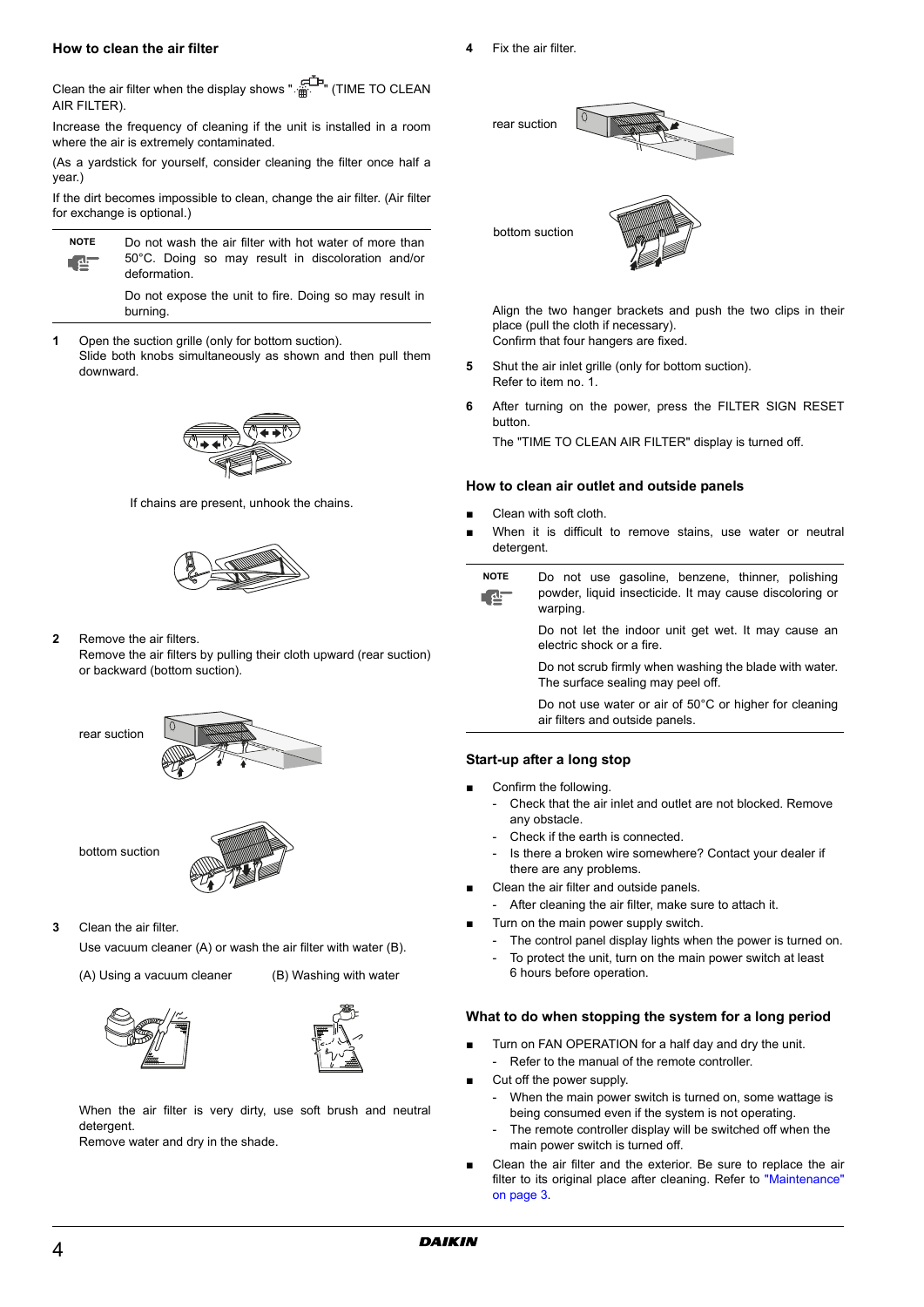#### **How to clean the air filter**

Clean the air filter when the display shows "..." (TIME TO CLEAN AIR FILTER).

Increase the frequency of cleaning if the unit is installed in a room where the air is extremely contaminated.

(As a yardstick for yourself, consider cleaning the filter once half a year.)

If the dirt becomes impossible to clean, change the air filter. (Air filter for exchange is optional.)

**NOTE** Do not wash the air filter with hot water of more than 50°C. Doing so may result in discoloration and/or **RET** deformation.

> Do not expose the unit to fire. Doing so may result in burning.

**1** Open the suction grille (only for bottom suction). Slide both knobs simultaneously as shown and then pull them downward.



If chains are present, unhook the chains.



- **2** Remove the air filters.
	- Remove the air filters by pulling their cloth upward (rear suction) or backward (bottom suction).







- 
- **3** Clean the air filter.
	- Use vacuum cleaner (A) or wash the air filter with water (B).

(A) Using a vacuum cleaner (B) Washing with water





When the air filter is very dirty, use soft brush and neutral detergent.

Remove water and dry in the shade.

rear suction

**4** Fix the air filter.



Align the two hanger brackets and push the two clips in their place (pull the cloth if necessary). Confirm that four hangers are fixed.

- **5** Shut the air inlet grille (only for bottom suction). Refer to item no. 1.
- **6** After turning on the power, press the FILTER SIGN RESET button.

The "TIME TO CLEAN AIR FILTER" display is turned off.

#### **How to clean air outlet and outside panels**

- Clean with soft cloth.
- When it is difficult to remove stains, use water or neutral detergent.

**NOTE** Do not use gasoline, benzene, thinner, polishing powder, liquid insecticide. It may cause discoloring or ┎╺ warping.

> Do not let the indoor unit get wet. It may cause an electric shock or a fire.

> Do not scrub firmly when washing the blade with water. The surface sealing may peel off.

Do not use water or air of 50°C or higher for cleaning air filters and outside panels.

#### **Start-up after a long stop**

- Confirm the following.
	- Check that the air inlet and outlet are not blocked. Remove any obstacle.
	- Check if the earth is connected.
	- Is there a broken wire somewhere? Contact your dealer if there are any problems.
- Clean the air filter and outside panels.
	- After cleaning the air filter, make sure to attach it.
- Turn on the main power supply switch.
	- The control panel display lights when the power is turned on.
	- To protect the unit, turn on the main power switch at least 6 hours before operation.

#### **What to do when stopping the system for a long period**

- Turn on FAN OPERATION for a half day and dry the unit. Refer to the manual of the remote controller.
- Cut off the power supply.
	- When the main power switch is turned on, some wattage is being consumed even if the system is not operating.
	- The remote controller display will be switched off when the main power switch is turned off.
- Clean the air filter and the exterior. Be sure to replace the air filter to its original place after cleaning. Refer to ["Maintenance"](#page-4-2) [on page 3.](#page-4-2)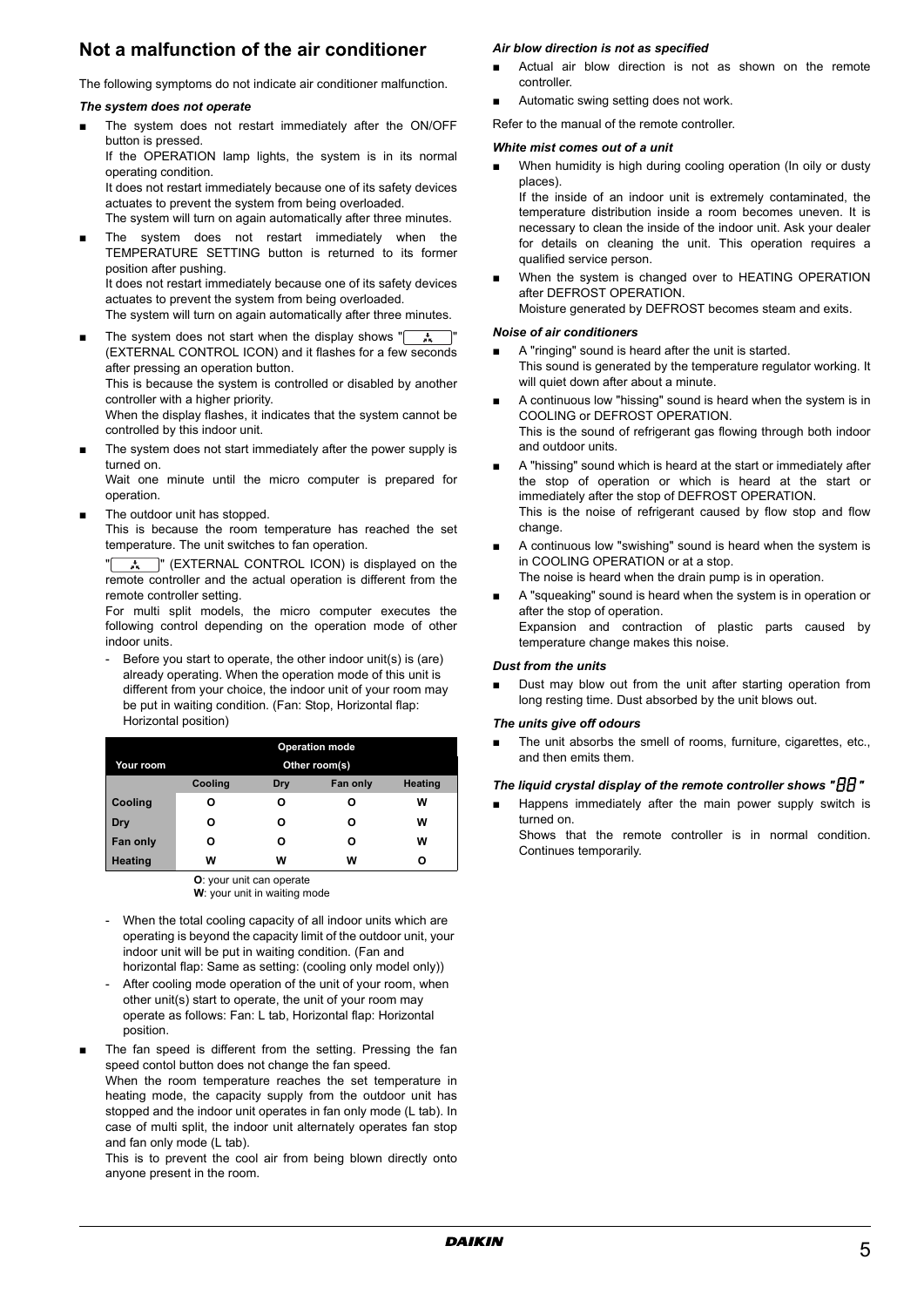# <span id="page-6-0"></span>**Not a malfunction of the air conditioner**

The following symptoms do not indicate air conditioner malfunction.

#### *The system does not operate*

The system does not restart immediately after the ON/OFF button is pressed.

If the OPERATION lamp lights, the system is in its normal operating condition. It does not restart immediately because one of its safety devices actuates to prevent the system from being overloaded.

The system will turn on again automatically after three minutes.

The system does not restart immediately when the TEMPERATURE SETTING button is returned to its former position after pushing. It does not restart immediately because one of its safety devices

actuates to prevent the system from being overloaded.

The system will turn on again automatically after three minutes.

The system does not start when the display shows " $\frac{1}{\epsilon}$ " (EXTERNAL CONTROL ICON) and it flashes for a few seconds after pressing an operation button.

This is because the system is controlled or disabled by another controller with a higher priority.

When the display flashes, it indicates that the system cannot be controlled by this indoor unit.

The system does not start immediately after the power supply is turned on.

Wait one minute until the micro computer is prepared for operation.

The outdoor unit has stopped.

This is because the room temperature has reached the set temperature. The unit switches to fan operation.

 $\frac{1}{N}$  (EXTERNAL CONTROL ICON) is displayed on the remote controller and the actual operation is different from the remote controller setting.

For multi split models, the micro computer executes the following control depending on the operation mode of other indoor units.

Before you start to operate, the other indoor unit(s) is (are) already operating. When the operation mode of this unit is different from your choice, the indoor unit of your room may be put in waiting condition. (Fan: Stop, Horizontal flap: Horizontal position)

|                | <b>Operation mode</b> |     |          |                |  |  |  |  |  |  |  |  |
|----------------|-----------------------|-----|----------|----------------|--|--|--|--|--|--|--|--|
| Your room      | Other room(s)         |     |          |                |  |  |  |  |  |  |  |  |
|                | Cooling               | Dry | Fan only | <b>Heating</b> |  |  |  |  |  |  |  |  |
| Cooling        | Ο                     |     | O        | w              |  |  |  |  |  |  |  |  |
| Dry            | Ο                     |     | O        | w              |  |  |  |  |  |  |  |  |
| Fan only       | Ο                     |     | Ο        | w              |  |  |  |  |  |  |  |  |
| <b>Heating</b> | W                     | w   | w        |                |  |  |  |  |  |  |  |  |

**O**: your unit can operate **W**: your unit in waiting mode

- When the total cooling capacity of all indoor units which are operating is beyond the capacity limit of the outdoor unit, your indoor unit will be put in waiting condition. (Fan and horizontal flap: Same as setting: (cooling only model only))
- After cooling mode operation of the unit of your room, when other unit(s) start to operate, the unit of your room may operate as follows: Fan: L tab, Horizontal flap: Horizontal position.
- The fan speed is different from the setting. Pressing the fan speed contol button does not change the fan speed. When the room temperature reaches the set temperature in heating mode, the capacity supply from the outdoor unit has stopped and the indoor unit operates in fan only mode (L tab). In case of multi split, the indoor unit alternately operates fan stop and fan only mode (L tab).

This is to prevent the cool air from being blown directly onto anyone present in the room.

#### *Air blow direction is not as specified*

- Actual air blow direction is not as shown on the remote controller.
- Automatic swing setting does not work.

Refer to the manual of the remote controller.

#### *White mist comes out of a unit*

When humidity is high during cooling operation (In oily or dusty places).

If the inside of an indoor unit is extremely contaminated, the temperature distribution inside a room becomes uneven. It is necessary to clean the inside of the indoor unit. Ask your dealer for details on cleaning the unit. This operation requires a qualified service person.

When the system is changed over to HEATING OPERATION after DEFROST OPERATION.

Moisture generated by DEFROST becomes steam and exits.

### *Noise of air conditioners*

- A "ringing" sound is heard after the unit is started. This sound is generated by the temperature regulator working. It will quiet down after about a minute.
- A continuous low "hissing" sound is heard when the system is in COOLING or DEFROST OPERATION.

This is the sound of refrigerant gas flowing through both indoor and outdoor units.

A "hissing" sound which is heard at the start or immediately after the stop of operation or which is heard at the start or immediately after the stop of DEFROST OPERATION. This is the noise of refrigerant caused by flow stop and flow

change.

A continuous low "swishing" sound is heard when the system is in COOLING OPERATION or at a stop.

The noise is heard when the drain pump is in operation.

A "squeaking" sound is heard when the system is in operation or after the stop of operation. Expansion and contraction of plastic parts caused by temperature change makes this noise.

#### *Dust from the units*

Dust may blow out from the unit after starting operation from long resting time. Dust absorbed by the unit blows out.

#### *The units give off odours*

■ The unit absorbs the smell of rooms, furniture, cigarettes, etc., and then emits them.

#### The liquid crystal display of the remote controller shows  $" \beta \beta"$

Happens immediately after the main power supply switch is turned on.

Shows that the remote controller is in normal condition. Continues temporarily.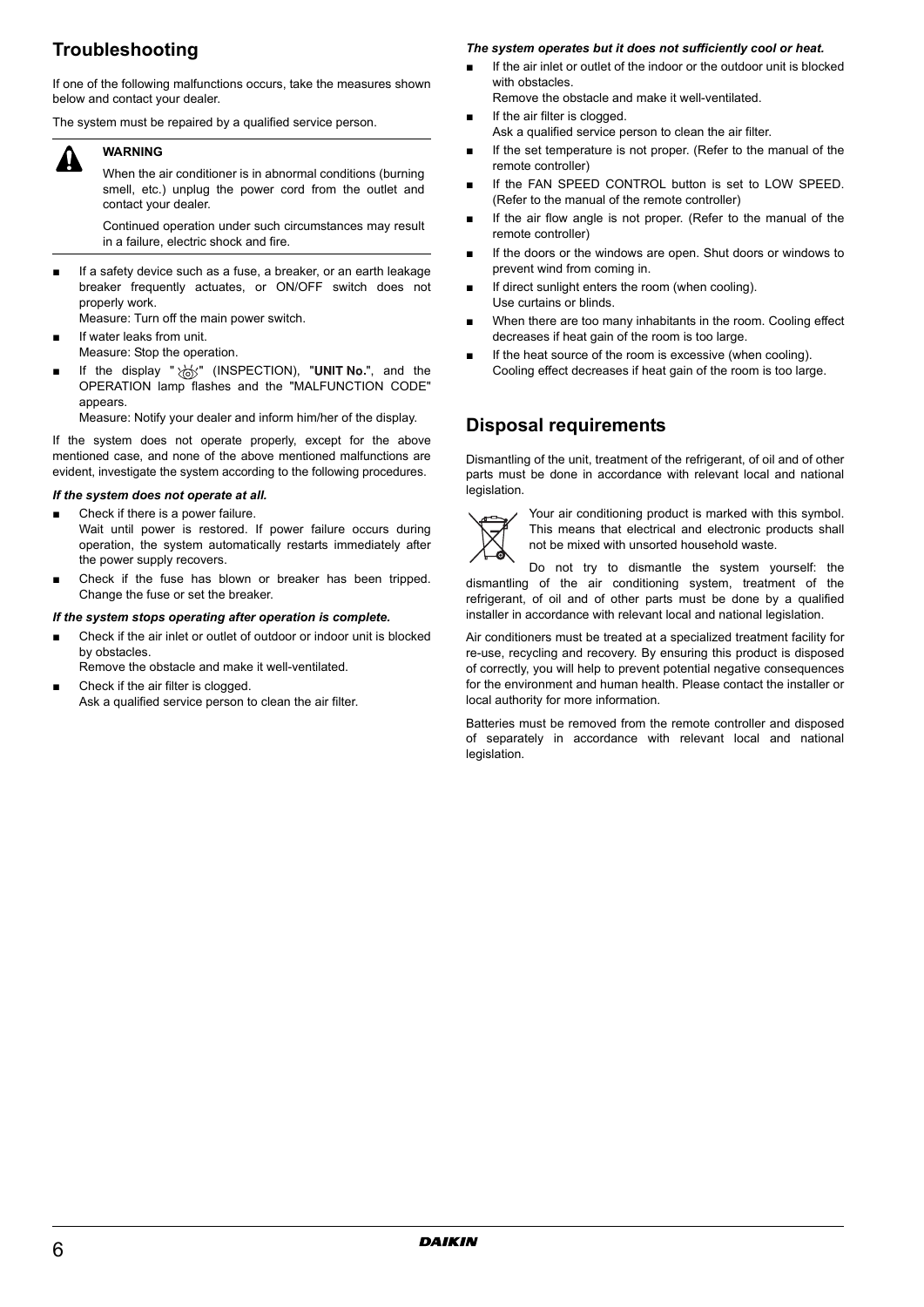# <span id="page-7-1"></span>**Troubleshooting**

If one of the following malfunctions occurs, take the measures shown below and contact your dealer.

The system must be repaired by a qualified service person.

# **WARNING**

When the air conditioner is in abnormal conditions (burning smell, etc.) unplug the power cord from the outlet and contact your dealer.

Continued operation under such circumstances may result in a failure, electric shock and fire.

■ If a safety device such as a fuse, a breaker, or an earth leakage breaker frequently actuates, or ON/OFF switch does not properly work.

Measure: Turn off the main power switch.

- If water leaks from unit. Measure: Stop the operation.
- If the display " $\frac{1}{2}$ " (INSPECTION), "UNIT No.", and the OPERATION lamp flashes and the "MALFUNCTION CODE" appears.

Measure: Notify your dealer and inform him/her of the display.

If the system does not operate properly, except for the above mentioned case, and none of the above mentioned malfunctions are evident, investigate the system according to the following procedures.

#### *If the system does not operate at all.*

- Check if there is a power failure. Wait until power is restored. If power failure occurs during operation, the system automatically restarts immediately after the power supply recovers.
- Check if the fuse has blown or breaker has been tripped. Change the fuse or set the breaker.

#### *If the system stops operating after operation is complete.*

- Check if the air inlet or outlet of outdoor or indoor unit is blocked by obstacles.
	- Remove the obstacle and make it well-ventilated.
- Check if the air filter is clogged. Ask a qualified service person to clean the air filter.

## *The system operates but it does not sufficiently cool or heat.*

- If the air inlet or outlet of the indoor or the outdoor unit is blocked with obstacles.
	- Remove the obstacle and make it well-ventilated.
- If the air filter is clogged. Ask a qualified service person to clean the air filter.
- If the set temperature is not proper. (Refer to the manual of the remote controller)
- If the FAN SPEED CONTROL button is set to LOW SPEED. (Refer to the manual of the remote controller)
- If the air flow angle is not proper. (Refer to the manual of the remote controller)
- If the doors or the windows are open. Shut doors or windows to prevent wind from coming in.
- If direct sunlight enters the room (when cooling). Use curtains or blinds.
- When there are too many inhabitants in the room. Cooling effect decreases if heat gain of the room is too large.
- If the heat source of the room is excessive (when cooling). Cooling effect decreases if heat gain of the room is too large.

# <span id="page-7-0"></span>**Disposal requirements**

Dismantling of the unit, treatment of the refrigerant, of oil and of other parts must be done in accordance with relevant local and national legislation.



Your air conditioning product is marked with this symbol. This means that electrical and electronic products shall not be mixed with unsorted household waste.

Do not try to dismantle the system yourself: the dismantling of the air conditioning system, treatment of the refrigerant, of oil and of other parts must be done by a qualified installer in accordance with relevant local and national legislation.

Air conditioners must be treated at a specialized treatment facility for re-use, recycling and recovery. By ensuring this product is disposed of correctly, you will help to prevent potential negative consequences for the environment and human health. Please contact the installer or local authority for more information.

Batteries must be removed from the remote controller and disposed of separately in accordance with relevant local and national legislation.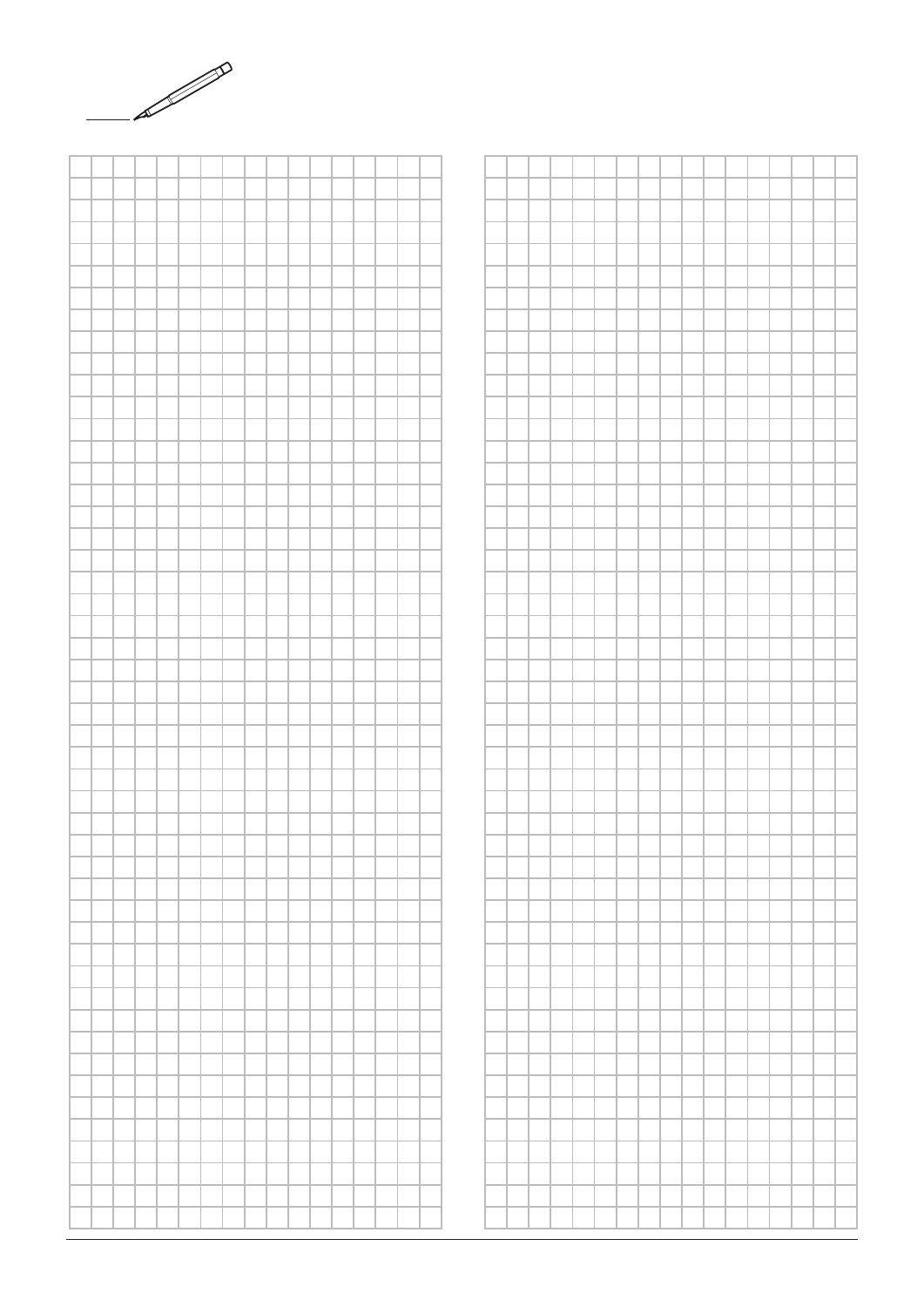

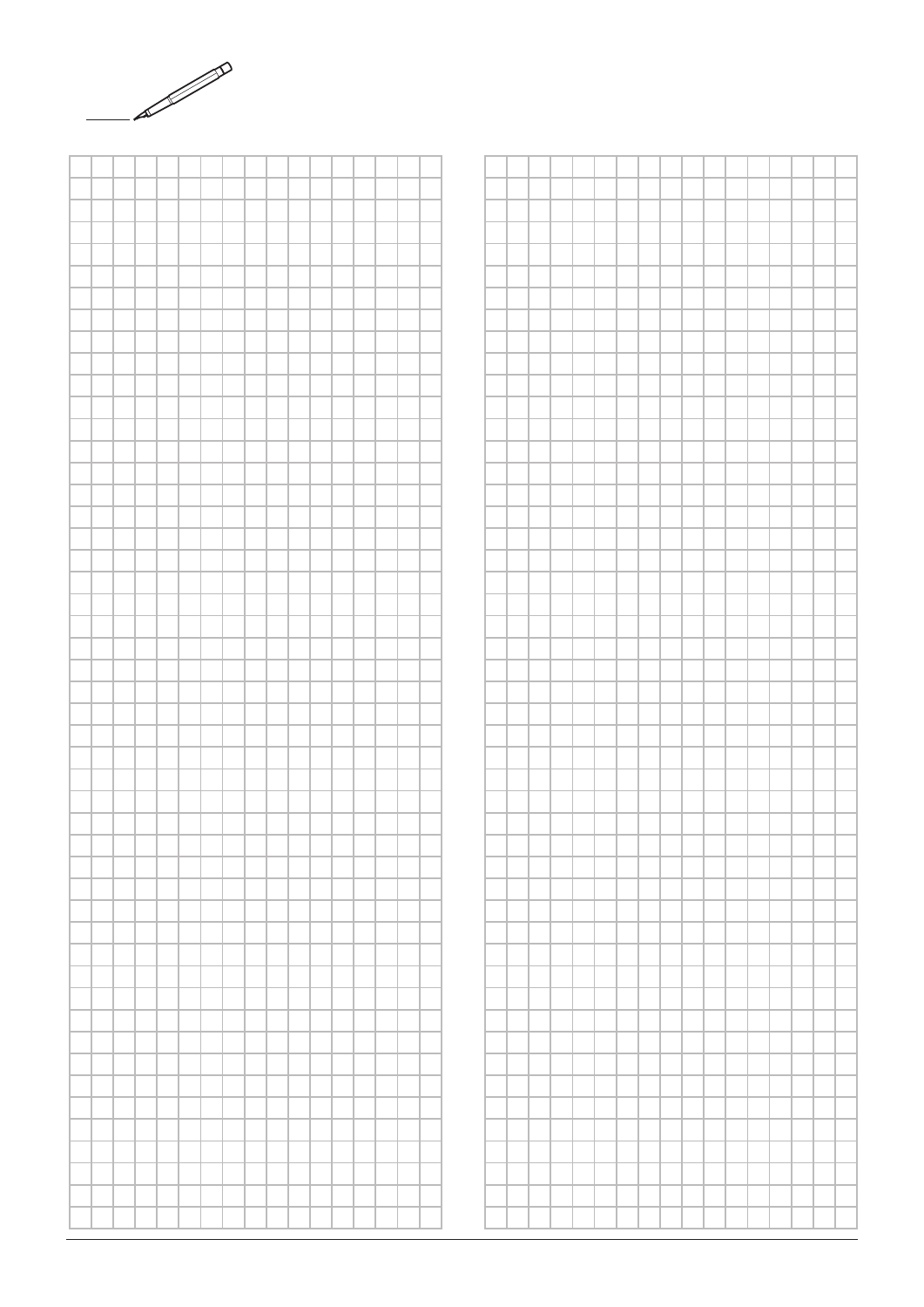

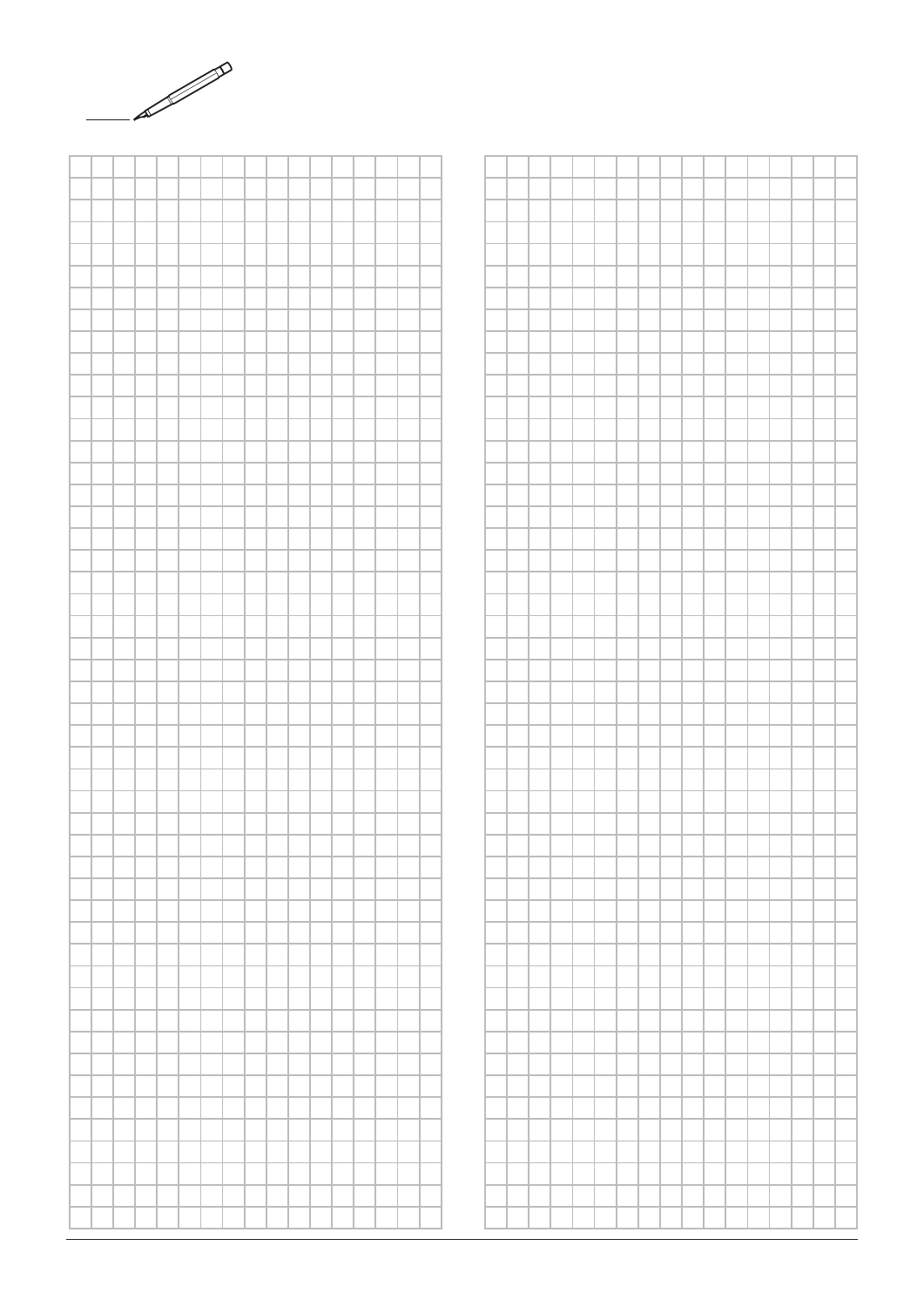